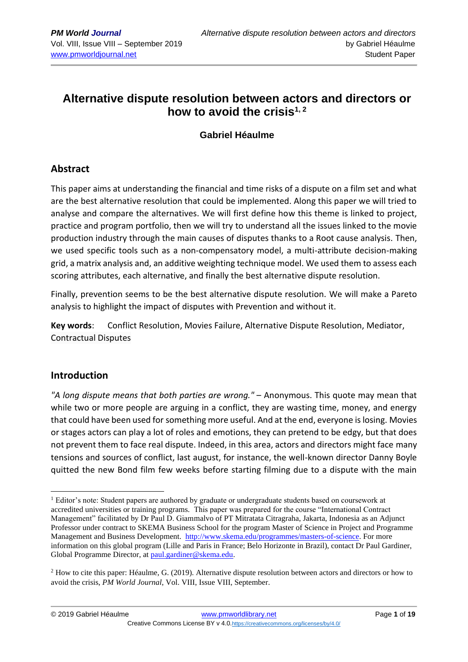# **Alternative dispute resolution between actors and directors or how to avoid the crisis1, 2**

# **Gabriel Héaulme**

# **Abstract**

This paper aims at understanding the financial and time risks of a dispute on a film set and what are the best alternative resolution that could be implemented. Along this paper we will tried to analyse and compare the alternatives. We will first define how this theme is linked to project, practice and program portfolio, then we will try to understand all the issues linked to the movie production industry through the main causes of disputes thanks to a Root cause analysis. Then, we used specific tools such as a non-compensatory model, a multi-attribute decision-making grid, a matrix analysis and, an additive weighting technique model. We used them to assess each scoring attributes, each alternative, and finally the best alternative dispute resolution.

Finally, prevention seems to be the best alternative dispute resolution. We will make a Pareto analysis to highlight the impact of disputes with Prevention and without it.

**Key words**: Conflict Resolution, Movies Failure, Alternative Dispute Resolution, Mediator, Contractual Disputes

### **Introduction**

*"A long dispute means that both parties are wrong."* – Anonymous. This quote may mean that while two or more people are arguing in a conflict, they are wasting time, money, and energy that could have been used for something more useful. And at the end, everyone is losing. Movies or stages actors can play a lot of roles and emotions, they can pretend to be edgy, but that does not prevent them to face real dispute. Indeed, in this area, actors and directors might face many tensions and sources of conflict, last august, for instance, the well-known director Danny Boyle quitted the new Bond film few weeks before starting filming due to a dispute with the main

<sup>&</sup>lt;sup>1</sup> Editor's note: Student papers are authored by graduate or undergraduate students based on coursework at accredited universities or training programs. This paper was prepared for the course "International Contract Management" facilitated by Dr Paul D. Giammalvo of PT Mitratata Citragraha, Jakarta, Indonesia as an Adjunct Professor under contract to SKEMA Business School for the program Master of Science in Project and Programme Management and Business Development. [http://www.skema.edu/programmes/masters-of-science.](http://www.skema.edu/programmes/masters-of-science) For more information on this global program (Lille and Paris in France; Belo Horizonte in Brazil), contact Dr Paul Gardiner, Global Programme Director, a[t paul.gardiner@skema.edu.](mailto:paul.gardiner@skema.edu)

<sup>&</sup>lt;sup>2</sup> How to cite this paper: Héaulme, G. (2019). Alternative dispute resolution between actors and directors or how to avoid the crisis, *PM World Journal*, Vol. VIII, Issue VIII, September.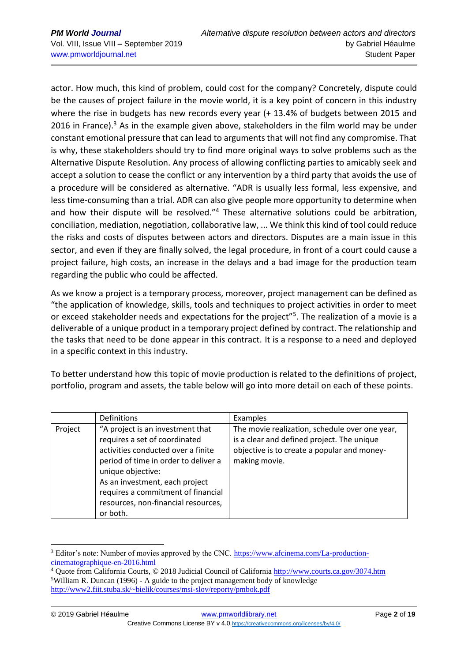actor. How much, this kind of problem, could cost for the company? Concretely, dispute could be the causes of project failure in the movie world, it is a key point of concern in this industry where the rise in budgets has new records every year (+ 13.4% of budgets between 2015 and 2016 in France).<sup>3</sup> As in the example given above, stakeholders in the film world may be under constant emotional pressure that can lead to arguments that will not find any compromise. That is why, these stakeholders should try to find more original ways to solve problems such as the Alternative Dispute Resolution. Any process of allowing conflicting parties to amicably seek and accept a solution to cease the conflict or any intervention by a third party that avoids the use of a procedure will be considered as alternative. "ADR is usually less formal, less expensive, and less time-consuming than a trial. ADR can also give people more opportunity to determine when and how their dispute will be resolved."<sup>4</sup> These alternative solutions could be arbitration, conciliation, mediation, negotiation, collaborative law, ... We think this kind of tool could reduce the risks and costs of disputes between actors and directors. Disputes are a main issue in this sector, and even if they are finally solved, the legal procedure, in front of a court could cause a project failure, high costs, an increase in the delays and a bad image for the production team regarding the public who could be affected.

As we know a project is a temporary process, moreover, project management can be defined as "the application of knowledge, skills, tools and techniques to project activities in order to meet or exceed stakeholder needs and expectations for the project"<sup>5</sup>. The realization of a movie is a deliverable of a unique product in a temporary project defined by contract. The relationship and the tasks that need to be done appear in this contract. It is a response to a need and deployed in a specific context in this industry.

To better understand how this topic of movie production is related to the definitions of project, portfolio, program and assets, the table below will go into more detail on each of these points.

|         | <b>Definitions</b>                                                                                                                                                                                                                                                                              | Examples                                                                                                                                                     |
|---------|-------------------------------------------------------------------------------------------------------------------------------------------------------------------------------------------------------------------------------------------------------------------------------------------------|--------------------------------------------------------------------------------------------------------------------------------------------------------------|
| Project | "A project is an investment that<br>requires a set of coordinated<br>activities conducted over a finite<br>period of time in order to deliver a<br>unique objective:<br>As an investment, each project<br>requires a commitment of financial<br>resources, non-financial resources,<br>or both. | The movie realization, schedule over one year,<br>is a clear and defined project. The unique<br>objective is to create a popular and money-<br>making movie. |

<sup>3</sup> Editor's note: Number of movies approved by the CNC. [https://www.afcinema.com/La-production](https://www.afcinema.com/La-production-cinematographique-en-2016.html)[cinematographique-en-2016.html](https://www.afcinema.com/La-production-cinematographique-en-2016.html)

<sup>4</sup> Quote from California Courts, © 2018 Judicial Council of California <http://www.courts.ca.gov/3074.htm> <sup>5</sup>William R. Duncan (1996) - A guide to the project management body of knowledge <http://www2.fiit.stuba.sk/~bielik/courses/msi-slov/reporty/pmbok.pdf>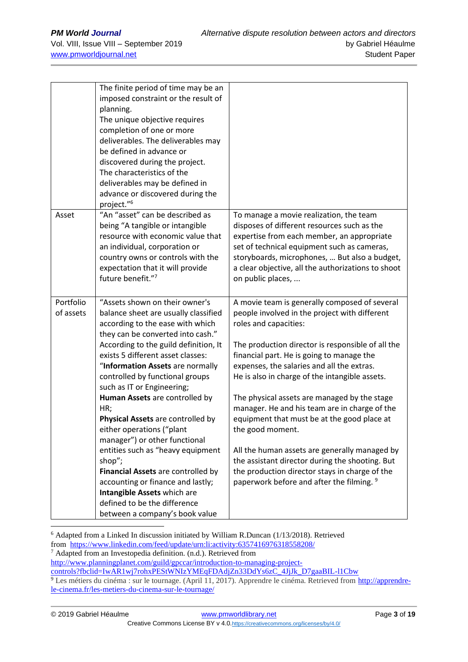|                        | The finite period of time may be an<br>imposed constraint or the result of<br>planning.<br>The unique objective requires<br>completion of one or more<br>deliverables. The deliverables may<br>be defined in advance or<br>discovered during the project.<br>The characteristics of the<br>deliverables may be defined in<br>advance or discovered during the<br>project." <sup>6</sup>                                                                                                                                                                                                                                                                                                                   |                                                                                                                                                                                                                                                                                                                                                                                                                                                                                                                                                                                                                                                                                                  |
|------------------------|-----------------------------------------------------------------------------------------------------------------------------------------------------------------------------------------------------------------------------------------------------------------------------------------------------------------------------------------------------------------------------------------------------------------------------------------------------------------------------------------------------------------------------------------------------------------------------------------------------------------------------------------------------------------------------------------------------------|--------------------------------------------------------------------------------------------------------------------------------------------------------------------------------------------------------------------------------------------------------------------------------------------------------------------------------------------------------------------------------------------------------------------------------------------------------------------------------------------------------------------------------------------------------------------------------------------------------------------------------------------------------------------------------------------------|
| Asset                  | "An "asset" can be described as<br>being "A tangible or intangible<br>resource with economic value that<br>an individual, corporation or<br>country owns or controls with the<br>expectation that it will provide<br>future benefit."7                                                                                                                                                                                                                                                                                                                                                                                                                                                                    | To manage a movie realization, the team<br>disposes of different resources such as the<br>expertise from each member, an appropriate<br>set of technical equipment such as cameras,<br>storyboards, microphones,  But also a budget,<br>a clear objective, all the authorizations to shoot<br>on public places,                                                                                                                                                                                                                                                                                                                                                                                  |
| Portfolio<br>of assets | "Assets shown on their owner's<br>balance sheet are usually classified<br>according to the ease with which<br>they can be converted into cash."<br>According to the guild definition, It<br>exists 5 different asset classes:<br>"Information Assets are normally<br>controlled by functional groups<br>such as IT or Engineering;<br>Human Assets are controlled by<br>HR;<br>Physical Assets are controlled by<br>either operations ("plant<br>manager") or other functional<br>entities such as "heavy equipment<br>shop";<br>Financial Assets are controlled by<br>accounting or finance and lastly;<br>Intangible Assets which are<br>defined to be the difference<br>between a company's book value | A movie team is generally composed of several<br>people involved in the project with different<br>roles and capacities:<br>The production director is responsible of all the<br>financial part. He is going to manage the<br>expenses, the salaries and all the extras.<br>He is also in charge of the intangible assets.<br>The physical assets are managed by the stage<br>manager. He and his team are in charge of the<br>equipment that must be at the good place at<br>the good moment.<br>All the human assets are generally managed by<br>the assistant director during the shooting. But<br>the production director stays in charge of the<br>paperwork before and after the filming. 9 |

<sup>6</sup> Adapted from a Linked In discussion initiated by William R.Duncan (1/13/2018). Retrieved from <https://www.linkedin.com/feed/update/urn:li:activity:6357416976318558208/>

 $7$  Adapted from an Investopedia definition. (n.d.). Retrieved from

[http://www.planningplanet.com/guild/gpccar/introduction-to-managing-project-](http://www.planningplanet.com/guild/gpccar/introduction-to-managing-project-controls?fbclid=IwAR1wj7rohxPEStWNIzYMEqFDAdjZn33DdYs6zC_4JjJk_D7gaaBIL-l1Cbw)

[controls?fbclid=IwAR1wj7rohxPEStWNIzYMEqFDAdjZn33DdYs6zC\\_4JjJk\\_D7gaaBIL-l1Cbw](http://www.planningplanet.com/guild/gpccar/introduction-to-managing-project-controls?fbclid=IwAR1wj7rohxPEStWNIzYMEqFDAdjZn33DdYs6zC_4JjJk_D7gaaBIL-l1Cbw)

<sup>&</sup>lt;sup>9</sup> Les métiers du cinéma : sur le tournage. (April 11, 2017). Apprendre le cinéma. Retrieved from [http://apprendre](http://apprendre-le-cinema.fr/les-metiers-du-cinema-sur-le-tournage/)[le-cinema.fr/les-metiers-du-cinema-sur-le-tournage/](http://apprendre-le-cinema.fr/les-metiers-du-cinema-sur-le-tournage/)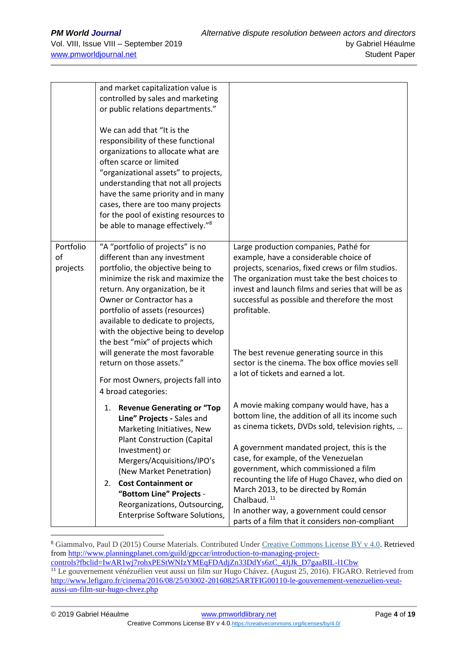|                             | and market capitalization value is<br>controlled by sales and marketing<br>or public relations departments."                                                                                                                                                                                                                                                                          |                                                                                                                                                                                                                                                                                                              |  |  |  |  |
|-----------------------------|---------------------------------------------------------------------------------------------------------------------------------------------------------------------------------------------------------------------------------------------------------------------------------------------------------------------------------------------------------------------------------------|--------------------------------------------------------------------------------------------------------------------------------------------------------------------------------------------------------------------------------------------------------------------------------------------------------------|--|--|--|--|
|                             | We can add that "It is the<br>responsibility of these functional<br>organizations to allocate what are<br>often scarce or limited<br>"organizational assets" to projects,<br>understanding that not all projects<br>have the same priority and in many<br>cases, there are too many projects<br>for the pool of existing resources to<br>be able to manage effectively." <sup>8</sup> |                                                                                                                                                                                                                                                                                                              |  |  |  |  |
| Portfolio<br>of<br>projects | "A "portfolio of projects" is no<br>different than any investment<br>portfolio, the objective being to<br>minimize the risk and maximize the<br>return. Any organization, be it<br>Owner or Contractor has a<br>portfolio of assets (resources)<br>available to dedicate to projects,                                                                                                 | Large production companies, Pathé for<br>example, have a considerable choice of<br>projects, scenarios, fixed crews or film studios.<br>The organization must take the best choices to<br>invest and launch films and series that will be as<br>successful as possible and therefore the most<br>profitable. |  |  |  |  |
|                             | with the objective being to develop<br>the best "mix" of projects which<br>will generate the most favorable<br>return on those assets."<br>For most Owners, projects fall into<br>4 broad categories:                                                                                                                                                                                 | The best revenue generating source in this<br>sector is the cinema. The box office movies sell<br>a lot of tickets and earned a lot.                                                                                                                                                                         |  |  |  |  |
|                             | 1. Revenue Generating or "Top<br>Line" Projects - Sales and<br>Marketing Initiatives, New<br><b>Plant Construction (Capital</b><br>Investment) or<br>Mergers/Acquisitions/IPO's<br>(New Market Penetration)                                                                                                                                                                           | A movie making company would have, has a<br>bottom line, the addition of all its income such<br>as cinema tickets, DVDs sold, television rights,<br>A government mandated project, this is the<br>case, for example, of the Venezuelan<br>government, which commissioned a film                              |  |  |  |  |
|                             | <b>Cost Containment or</b><br>2.<br>"Bottom Line" Projects -<br>Reorganizations, Outsourcing,<br>Enterprise Software Solutions,                                                                                                                                                                                                                                                       | recounting the life of Hugo Chavez, who died on<br>March 2013, to be directed by Román<br>Chalbaud. <sup>11</sup><br>In another way, a government could censor<br>parts of a film that it considers non-compliant                                                                                            |  |  |  |  |

<sup>&</sup>lt;sup>8</sup> Giammalvo, Paul D (2015) Course Materials. Contributed Under [Creative Commons License BY v 4.0.](https://creativecommons.org/licenses/by/4.0/) Retrieved fro[m http://www.planningplanet.com/guild/gpccar/introduction-to-managing-project](http://www.planningplanet.com/guild/gpccar/introduction-to-managing-project-controls?fbclid=IwAR1wj7rohxPEStWNIzYMEqFDAdjZn33DdYs6zC_4JjJk_D7gaaBIL-l1Cbw)[controls?fbclid=IwAR1wj7rohxPEStWNIzYMEqFDAdjZn33DdYs6zC\\_4JjJk\\_D7gaaBIL-l1Cbw](http://www.planningplanet.com/guild/gpccar/introduction-to-managing-project-controls?fbclid=IwAR1wj7rohxPEStWNIzYMEqFDAdjZn33DdYs6zC_4JjJk_D7gaaBIL-l1Cbw)

<sup>11</sup> Le gouvernement vénézuélien veut aussi un film sur Hugo Chávez. (August 25, 2016). FIGARO. Retrieved from [http://www.lefigaro.fr/cinema/2016/08/25/03002-20160825ARTFIG00110-le-gouvernement-venezuelien-veut-](http://www.lefigaro.fr/cinema/2016/08/25/03002-20160825ARTFIG00110-le-gouvernement-venezuelien-veut-aussi-un-film-sur-hugo-chvez.php)

[aussi-un-film-sur-hugo-chvez.php](http://www.lefigaro.fr/cinema/2016/08/25/03002-20160825ARTFIG00110-le-gouvernement-venezuelien-veut-aussi-un-film-sur-hugo-chvez.php)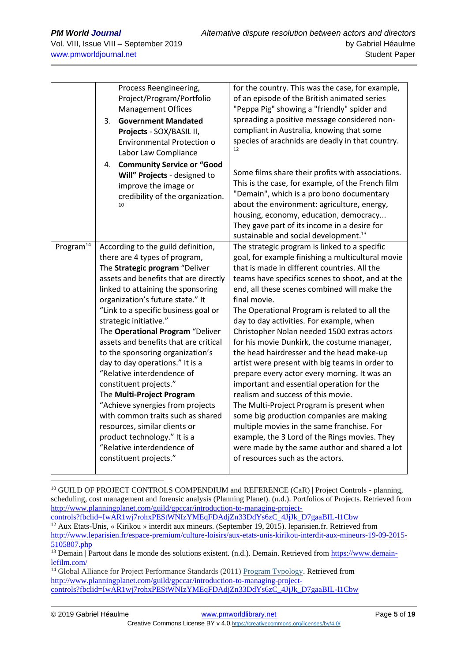|                       |    | Process Reengineering,<br>Project/Program/Portfolio                 | for the country. This was the case, for example,<br>of an episode of the British animated series                 |  |  |  |  |  |  |
|-----------------------|----|---------------------------------------------------------------------|------------------------------------------------------------------------------------------------------------------|--|--|--|--|--|--|
|                       |    | <b>Management Offices</b>                                           | "Peppa Pig" showing a "friendly" spider and                                                                      |  |  |  |  |  |  |
|                       | 3. | <b>Government Mandated</b>                                          | spreading a positive message considered non-<br>compliant in Australia, knowing that some                        |  |  |  |  |  |  |
|                       |    | Projects - SOX/BASIL II,                                            |                                                                                                                  |  |  |  |  |  |  |
|                       |    | <b>Environmental Protection o</b>                                   | species of arachnids are deadly in that country.                                                                 |  |  |  |  |  |  |
|                       |    | Labor Law Compliance                                                | 12                                                                                                               |  |  |  |  |  |  |
|                       |    | 4. Community Service or "Good                                       |                                                                                                                  |  |  |  |  |  |  |
|                       |    | Will" Projects - designed to                                        | Some films share their profits with associations.                                                                |  |  |  |  |  |  |
|                       |    | improve the image or                                                | This is the case, for example, of the French film                                                                |  |  |  |  |  |  |
|                       |    | credibility of the organization.                                    | "Demain", which is a pro bono documentary                                                                        |  |  |  |  |  |  |
|                       |    | 10                                                                  | about the environment: agriculture, energy,<br>housing, economy, education, democracy                            |  |  |  |  |  |  |
|                       |    |                                                                     | They gave part of its income in a desire for                                                                     |  |  |  |  |  |  |
|                       |    |                                                                     | sustainable and social development. <sup>13</sup>                                                                |  |  |  |  |  |  |
| Program <sup>14</sup> |    | According to the guild definition,                                  | The strategic program is linked to a specific                                                                    |  |  |  |  |  |  |
|                       |    | there are 4 types of program,                                       | goal, for example finishing a multicultural movie                                                                |  |  |  |  |  |  |
|                       |    | The Strategic program "Deliver                                      | that is made in different countries. All the                                                                     |  |  |  |  |  |  |
|                       |    | assets and benefits that are directly                               | teams have specifics scenes to shoot, and at the<br>end, all these scenes combined will make the<br>final movie. |  |  |  |  |  |  |
|                       |    | linked to attaining the sponsoring                                  |                                                                                                                  |  |  |  |  |  |  |
|                       |    | organization's future state." It                                    |                                                                                                                  |  |  |  |  |  |  |
|                       |    | "Link to a specific business goal or                                | The Operational Program is related to all the                                                                    |  |  |  |  |  |  |
|                       |    | strategic initiative."                                              | day to day activities. For example, when                                                                         |  |  |  |  |  |  |
|                       |    | The Operational Program "Deliver                                    | Christopher Nolan needed 1500 extras actors                                                                      |  |  |  |  |  |  |
|                       |    | assets and benefits that are critical                               | for his movie Dunkirk, the costume manager,                                                                      |  |  |  |  |  |  |
|                       |    | to the sponsoring organization's<br>day to day operations." It is a | the head hairdresser and the head make-up<br>artist were present with big teams in order to                      |  |  |  |  |  |  |
|                       |    | "Relative interdendence of                                          | prepare every actor every morning. It was an                                                                     |  |  |  |  |  |  |
|                       |    | constituent projects."                                              | important and essential operation for the                                                                        |  |  |  |  |  |  |
|                       |    | The Multi-Project Program                                           | realism and success of this movie.                                                                               |  |  |  |  |  |  |
|                       |    | "Achieve synergies from projects                                    | The Multi-Project Program is present when                                                                        |  |  |  |  |  |  |
|                       |    | with common traits such as shared                                   | some big production companies are making                                                                         |  |  |  |  |  |  |
|                       |    | resources, similar clients or                                       | multiple movies in the same franchise. For                                                                       |  |  |  |  |  |  |
|                       |    | product technology." It is a                                        | example, the 3 Lord of the Rings movies. They                                                                    |  |  |  |  |  |  |
|                       |    | "Relative interdendence of                                          | were made by the same author and shared a lot                                                                    |  |  |  |  |  |  |
|                       |    | constituent projects."                                              | of resources such as the actors.                                                                                 |  |  |  |  |  |  |
|                       |    |                                                                     |                                                                                                                  |  |  |  |  |  |  |

<sup>10</sup> GUILD OF PROJECT CONTROLS COMPENDIUM and REFERENCE (CaR) | Project Controls - planning, scheduling, cost management and forensic analysis (Planning Planet). (n.d.). Portfolios of Projects. Retrieved from [http://www.planningplanet.com/guild/gpccar/introduction-to-managing-project-](http://www.planningplanet.com/guild/gpccar/introduction-to-managing-project-controls?fbclid=IwAR1wj7rohxPEStWNIzYMEqFDAdjZn33DdYs6zC_4JjJk_D7gaaBIL-l1Cbw)

[controls?fbclid=IwAR1wj7rohxPEStWNIzYMEqFDAdjZn33DdYs6zC\\_4JjJk\\_D7gaaBIL-l1Cbw](http://www.planningplanet.com/guild/gpccar/introduction-to-managing-project-controls?fbclid=IwAR1wj7rohxPEStWNIzYMEqFDAdjZn33DdYs6zC_4JjJk_D7gaaBIL-l1Cbw)  $12$  Aux Etats-Unis, « Kirikou » interdit aux mineurs. (September 19, 2015). leparisien.fr. Retrieved from [http://www.leparisien.fr/espace-premium/culture-loisirs/aux-etats-unis-kirikou-interdit-aux-mineurs-19-09-2015-](http://www.leparisien.fr/espace-premium/culture-loisirs/aux-etats-unis-kirikou-interdit-aux-mineurs-19-09-2015-5105807.php) [5105807.php](http://www.leparisien.fr/espace-premium/culture-loisirs/aux-etats-unis-kirikou-interdit-aux-mineurs-19-09-2015-5105807.php)

<sup>14</sup> Global Alliance for Project Performance Standards (2011) [Program Typology.](http://globalpmstandards.org/tools/complexity-rating/program-typology/) Retrieved from [http://www.planningplanet.com/guild/gpccar/introduction-to-managing-project](http://www.planningplanet.com/guild/gpccar/introduction-to-managing-project-controls?fbclid=IwAR1wj7rohxPEStWNIzYMEqFDAdjZn33DdYs6zC_4JjJk_D7gaaBIL-l1Cbw)[controls?fbclid=IwAR1wj7rohxPEStWNIzYMEqFDAdjZn33DdYs6zC\\_4JjJk\\_D7gaaBIL-l1Cbw](http://www.planningplanet.com/guild/gpccar/introduction-to-managing-project-controls?fbclid=IwAR1wj7rohxPEStWNIzYMEqFDAdjZn33DdYs6zC_4JjJk_D7gaaBIL-l1Cbw)

<sup>&</sup>lt;sup>13</sup> Demain | Partout dans le monde des solutions existent. (n.d.). Demain. Retrieved from [https://www.demain](https://www.demain-lefilm.com/)[lefilm.com/](https://www.demain-lefilm.com/)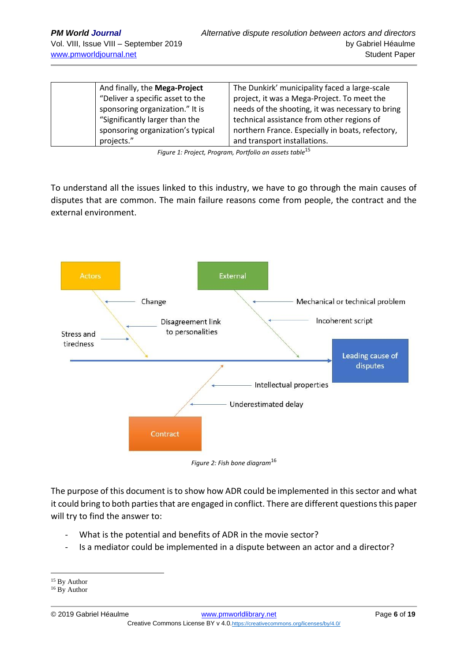| And finally, the Mega-Project     | The Dunkirk' municipality faced a large-scale    |
|-----------------------------------|--------------------------------------------------|
| "Deliver a specific asset to the  | project, it was a Mega-Project. To meet the      |
| sponsoring organization." It is   | needs of the shooting, it was necessary to bring |
| "Significantly larger than the    | technical assistance from other regions of       |
| sponsoring organization's typical | northern France. Especially in boats, refectory, |
| projects."                        | and transport installations.                     |

*Figure 1: Project, Program, Portfolio an assets table*<sup>15</sup>

To understand all the issues linked to this industry, we have to go through the main causes of disputes that are common. The main failure reasons come from people, the contract and the external environment.



*Figure 2: Fish bone diagram*<sup>16</sup>

The purpose of this document is to show how ADR could be implemented in this sector and what it could bring to both parties that are engaged in conflict. There are different questions this paper will try to find the answer to:

- What is the potential and benefits of ADR in the movie sector?
- Is a mediator could be implemented in a dispute between an actor and a director?

<sup>&</sup>lt;sup>15</sup> By Author

<sup>&</sup>lt;sup>16</sup> By Author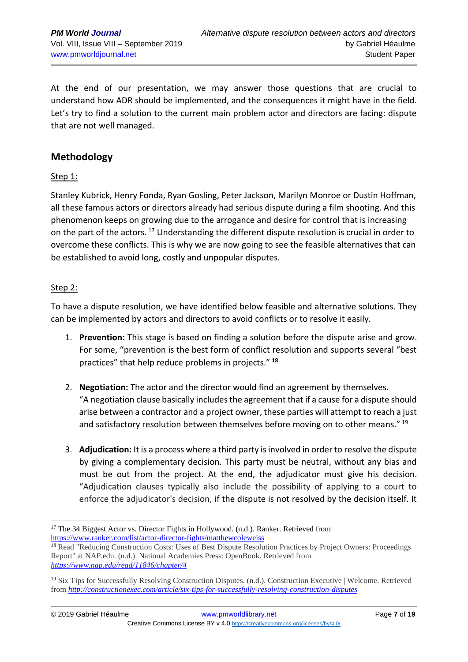At the end of our presentation, we may answer those questions that are crucial to understand how ADR should be implemented, and the consequences it might have in the field. Let's try to find a solution to the current main problem actor and directors are facing: dispute that are not well managed.

### **Methodology**

### Step 1:

Stanley Kubrick, Henry Fonda, Ryan Gosling, Peter Jackson, Marilyn Monroe or Dustin Hoffman, all these famous actors or directors already had serious dispute during a film shooting. And this phenomenon keeps on growing due to the arrogance and desire for control that is increasing on the part of the actors.<sup>17</sup> Understanding the different dispute resolution is crucial in order to overcome these conflicts. This is why we are now going to see the feasible alternatives that can be established to avoid long, costly and unpopular disputes.

### Step 2:

To have a dispute resolution, we have identified below feasible and alternative solutions. They can be implemented by actors and directors to avoid conflicts or to resolve it easily.

- 1. **Prevention:** This stage is based on finding a solution before the dispute arise and grow. For some, "prevention is the best form of conflict resolution and supports several "best practices" that help reduce problems in projects." **<sup>18</sup>**
- 2. **Negotiation:** The actor and the director would find an agreement by themselves. "A negotiation clause basically includes the agreement that if a cause for a dispute should arise between a contractor and a project owner, these parties will attempt to reach a just and satisfactory resolution between themselves before moving on to other means." <sup>19</sup>
- 3. **Adjudication:** It is a process where a third party is involved in order to resolve the dispute by giving a complementary decision. This party must be neutral, without any bias and must be out from the project. At the end, the adjudicator must give his decision. "Adjudication clauses typically also include the possibility of applying to a court to enforce the adjudicator's decision, if the dispute is not resolved by the decision itself. It

<sup>&</sup>lt;sup>17</sup> The 34 Biggest Actor vs. Director Fights in Hollywood. (n.d.). Ranker. Retrieved from <https://www.ranker.com/list/actor-director-fights/matthewcoleweiss>

<sup>&</sup>lt;sup>18</sup> Read "Reducing Construction Costs: Uses of Best Dispute Resolution Practices by Project Owners: Proceedings Report" at NAP.edu. (n.d.). National Academies Press: OpenBook. Retrieved from *<https://www.nap.edu/read/11846/chapter/4>*

<sup>19</sup> Six Tips for Successfully Resolving Construction Disputes. (n.d.). Construction Executive | Welcome. Retrieved from *<http://constructionexec.com/article/six-tips-for-successfully-resolving-construction-disputes>*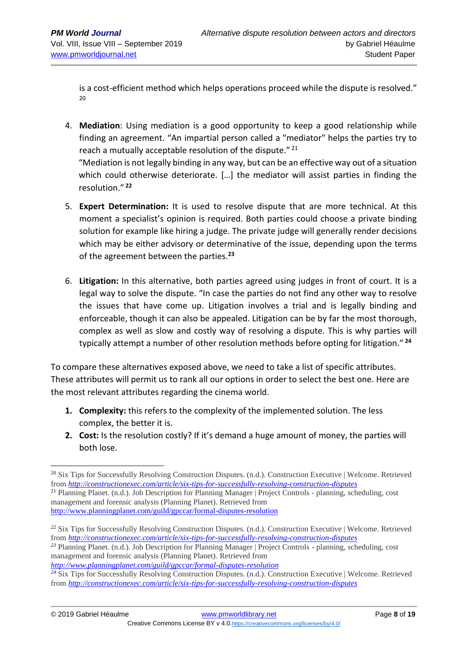is a cost-efficient method which helps operations proceed while the dispute is resolved." 20

4. **Mediation**: Using mediation is a good opportunity to keep a good relationship while finding an agreement. "An impartial person called a "mediator" helps the parties try to reach a mutually acceptable resolution of the dispute."<sup>21</sup>

"Mediation is not legally binding in any way, but can be an effective way out of a situation which could otherwise deteriorate. […] the mediator will assist parties in finding the resolution." **<sup>22</sup>**

- 5. **Expert Determination:** It is used to resolve dispute that are more technical. At this moment a specialist's opinion is required. Both parties could choose a private binding solution for example like hiring a judge. The private judge will generally render decisions which may be either advisory or determinative of the issue, depending upon the terms of the agreement between the parties.**<sup>23</sup>**
- 6. **Litigation:** In this alternative, both parties agreed using judges in front of court. It is a legal way to solve the dispute. "In case the parties do not find any other way to resolve the issues that have come up. Litigation involves a trial and is legally binding and enforceable, though it can also be appealed. Litigation can be by far the most thorough, complex as well as slow and costly way of resolving a dispute. This is why parties will typically attempt a number of other resolution methods before opting for litigation." **<sup>24</sup>**

To compare these alternatives exposed above, we need to take a list of specific attributes. These attributes will permit us to rank all our options in order to select the best one. Here are the most relevant attributes regarding the cinema world.

- **1. Complexity:** this refers to the complexity of the implemented solution. The less complex, the better it is.
- **2. Cost:** Is the resolution costly? If it's demand a huge amount of money, the parties will both lose.

<sup>&</sup>lt;sup>20</sup> Six Tips for Successfully Resolving Construction Disputes. (n.d.). Construction Executive | Welcome. Retrieved from *<http://constructionexec.com/article/six-tips-for-successfully-resolving-construction-disputes>*

<sup>21</sup> Planning Planet. (n.d.). Job Description for Planning Manager | Project Controls - planning, scheduling, cost management and forensic analysis (Planning Planet). Retrieved from <http://www.planningplanet.com/guild/gpccar/formal-disputes-resolution>

*<sup>22</sup>* Six Tips for Successfully Resolving Construction Disputes. (n.d.). Construction Executive | Welcome. Retrieved from *<http://constructionexec.com/article/six-tips-for-successfully-resolving-construction-disputes>*

*<sup>23</sup>* Planning Planet. (n.d.). Job Description for Planning Manager | Project Controls - planning, scheduling, cost management and forensic analysis (Planning Planet). Retrieved from *<http://www.planningplanet.com/guild/gpccar/formal-disputes-resolution>*

*<sup>24</sup>* Six Tips for Successfully Resolving Construction Disputes. (n.d.). Construction Executive | Welcome. Retrieved from *<http://constructionexec.com/article/six-tips-for-successfully-resolving-construction-disputes>*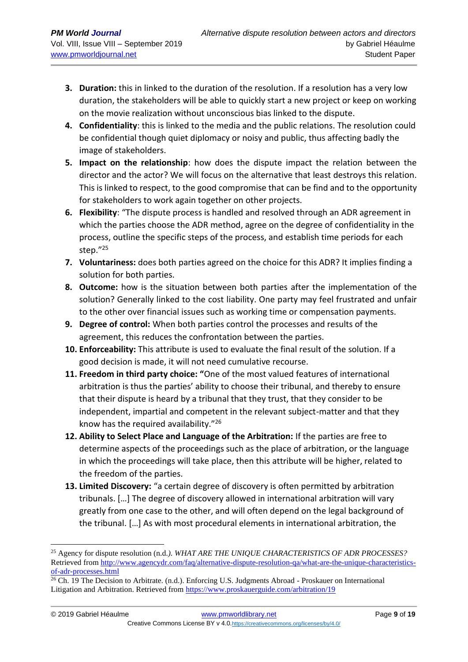- **3. Duration:** this in linked to the duration of the resolution. If a resolution has a very low duration, the stakeholders will be able to quickly start a new project or keep on working on the movie realization without unconscious bias linked to the dispute.
- **4. Confidentiality**: this is linked to the media and the public relations. The resolution could be confidential though quiet diplomacy or noisy and public, thus affecting badly the image of stakeholders.
- **5. Impact on the relationship**: how does the dispute impact the relation between the director and the actor? We will focus on the alternative that least destroys this relation. This is linked to respect, to the good compromise that can be find and to the opportunity for stakeholders to work again together on other projects.
- **6. Flexibility**: "The dispute process is handled and resolved through an ADR agreement in which the parties choose the ADR method, agree on the degree of confidentiality in the process, outline the specific steps of the process, and establish time periods for each step."<sup>25</sup>
- **7. Voluntariness:** does both parties agreed on the choice for this ADR? It implies finding a solution for both parties.
- **8. Outcome:** how is the situation between both parties after the implementation of the solution? Generally linked to the cost liability. One party may feel frustrated and unfair to the other over financial issues such as working time or compensation payments.
- **9. Degree of control:** When both parties control the processes and results of the agreement, this reduces the confrontation between the parties.
- **10. Enforceability:** This attribute is used to evaluate the final result of the solution. If a good decision is made, it will not need cumulative recourse.
- **11. Freedom in third party choice: "**One of the most valued features of international arbitration is thus the parties' ability to choose their tribunal, and thereby to ensure that their dispute is heard by a tribunal that they trust, that they consider to be independent, impartial and competent in the relevant subject-matter and that they know has the required availability."<sup>26</sup>
- **12. Ability to Select Place and Language of the Arbitration:** If the parties are free to determine aspects of the proceedings such as the place of arbitration, or the language in which the proceedings will take place, then this attribute will be higher, related to the freedom of the parties.
- **13. Limited Discovery:** "a certain degree of discovery is often permitted by arbitration tribunals. […] The degree of discovery allowed in international arbitration will vary greatly from one case to the other, and will often depend on the legal background of the tribunal. […] As with most procedural elements in international arbitration, the

<sup>&</sup>lt;sup>25</sup> Agency for dispute resolution (n.d.). WHAT ARE THE UNIQUE CHARACTERISTICS OF ADR PROCESSES? Retrieved from [http://www.agencydr.com/faq/alternative-dispute-resolution-qa/what-are-the-unique-characteristics](http://www.agencydr.com/faq/alternative-dispute-resolution-qa/what-are-the-unique-characteristics-of-adr-processes.html)[of-adr-processes.html](http://www.agencydr.com/faq/alternative-dispute-resolution-qa/what-are-the-unique-characteristics-of-adr-processes.html)

<sup>&</sup>lt;sup>26</sup> Ch. 19 The Decision to Arbitrate. (n.d.). Enforcing U.S. Judgments Abroad - Proskauer on International Litigation and Arbitration. Retrieved from<https://www.proskauerguide.com/arbitration/19>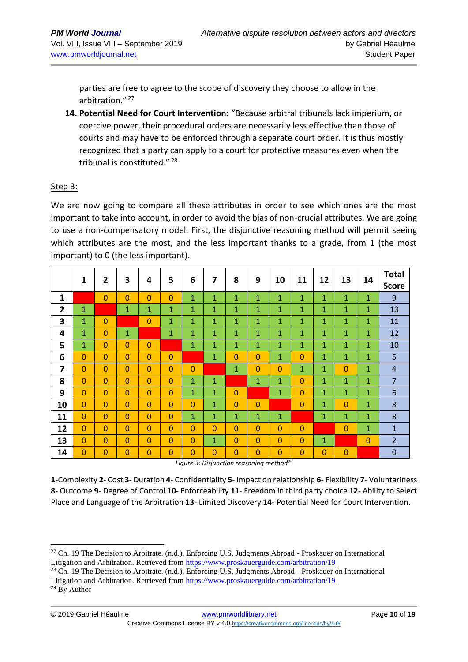parties are free to agree to the scope of discovery they choose to allow in the arbitration." <sup>27</sup>

**14. Potential Need for Court Intervention:** "Because arbitral tribunals lack imperium, or coercive power, their procedural orders are necessarily less effective than those of courts and may have to be enforced through a separate court order. It is thus mostly recognized that a party can apply to a court for protective measures even when the tribunal is constituted."<sup>28</sup>

#### Step 3:

We are now going to compare all these attributes in order to see which ones are the most important to take into account, in order to avoid the bias of non-crucial attributes. We are going to use a non-compensatory model. First, the disjunctive reasoning method will permit seeing which attributes are the most, and the less important thanks to a grade, from 1 (the most important) to 0 (the less important).

|                | 1              | $\overline{2}$ | 3              | 4              | 5              | 6              | 7 | 8              | 9              | 10             | 11             | 12           | 13             | 14             | <b>Total</b>   |
|----------------|----------------|----------------|----------------|----------------|----------------|----------------|---|----------------|----------------|----------------|----------------|--------------|----------------|----------------|----------------|
|                |                |                |                |                |                |                |   |                |                |                |                |              |                |                | <b>Score</b>   |
| 1              |                | 0              | 0              | $\overline{0}$ | $\overline{0}$ | 1              | 1 | 1              | $\mathbf{1}$   | 1              | 1              | 1            | 1              | 1              | 9              |
| $\overline{2}$ | $\mathbf{1}$   |                | 1              | 1              | 1              | $\mathbf{1}$   | 1 | 1              | 1              | $\mathbf{1}$   | 1              | 1            | 1              | 1              | 13             |
| 3              | $\mathbf{1}$   | $\overline{0}$ |                | $\overline{0}$ | $\mathbf{1}$   | 1              | 1 | $\mathbf{1}$   | $\mathbf 1$    | 1              | 1              | 1            | 1              | 1              | 11             |
| 4              | 1              | 0              | 1              |                | 1              | $\mathbf{1}$   | 1 | $\mathbf{1}$   | $\mathbf{1}$   | 1              | 1              | 1            | 1              | 1              | 12             |
| 5              | $\mathbf 1$    | $\overline{0}$ | 0              | $\overline{0}$ |                | 1              | 1 | 1              | $\mathbf{1}$   | $\mathbf{1}$   | 1              | 1            | 1              | $\mathbf{1}$   | 10             |
| 6              | $\overline{0}$ | $\overline{0}$ | 0              | $\overline{0}$ | $\overline{0}$ |                | 1 | $\Omega$       | $\overline{0}$ | 1              | $\overline{0}$ | 1            | 1              | 1              | 5              |
| 7              | $\overline{0}$ | $\overline{0}$ | $\overline{0}$ | $\overline{0}$ | $\Omega$       | $\Omega$       |   | $\mathbf{1}$   | $\overline{0}$ | $\overline{0}$ | $\mathbf{1}$   | 1            | $\overline{0}$ | 1              | $\overline{4}$ |
| 8              | 0              | $\overline{0}$ | 0              | $\overline{0}$ | $\overline{0}$ | $\mathbf{1}$   | 1 |                | 1              | 1              | $\overline{0}$ | 1            | 1              | 1              | $\overline{7}$ |
| 9              | $\overline{0}$ | $\overline{0}$ | $\overline{0}$ | $\overline{0}$ | $\overline{0}$ | 1              | 1 | $\overline{0}$ |                | 1              | $\overline{0}$ | 1            | 1              | 1              | 6              |
| 10             | $\overline{0}$ | $\overline{0}$ | $\overline{0}$ | $\overline{0}$ | $\overline{0}$ | $\overline{0}$ | 1 | $\Omega$       | $\overline{0}$ |                | $\Omega$       | $\mathbf{1}$ | $\overline{0}$ | 1              | 3              |
| 11             | $\overline{0}$ | $\overline{0}$ | 0              | $\overline{0}$ | $\overline{0}$ | 1              | 1 | 1              | 1              | $\mathbf{1}$   |                | $\mathbf{1}$ | 1              | 1              | 8              |
| 12             | $\overline{0}$ | $\overline{0}$ | 0              | $\overline{0}$ | $\overline{0}$ | $\Omega$       | 0 | $\Omega$       | $\overline{0}$ | $\overline{0}$ | $\overline{0}$ |              | $\overline{0}$ | 1              | $\mathbf{1}$   |
| 13             | $\overline{0}$ | $\overline{0}$ | 0              | $\overline{0}$ | $\Omega$       | $\overline{0}$ | 1 | $\Omega$       | $\overline{0}$ | $\Omega$       | $\Omega$       | 1            |                | $\overline{0}$ | $\overline{2}$ |
| 14             | 0              | $\overline{0}$ | 0              | $\overline{0}$ | 0              | $\overline{0}$ | 0 | $\overline{0}$ | 0              | $\overline{0}$ | $\Omega$       | $\Omega$     | $\overline{0}$ |                | $\mathbf 0$    |

*Figure 3: Disjunction reasoning method<sup>29</sup>*

**1**-Complexity **2**- Cost **3**- Duration **4**- Confidentiality **5**- Impact on relationship **6**- Flexibility **7**- Voluntariness **8**- Outcome **9**- Degree of Control **10**- Enforceability **11**- Freedom in third party choice **12**- Ability to Select Place and Language of the Arbitration **13**- Limited Discovery **14**- Potential Need for Court Intervention.

<sup>&</sup>lt;sup>27</sup> Ch. 19 The Decision to Arbitrate. (n.d.). Enforcing U.S. Judgments Abroad - Proskauer on International Litigation and Arbitration. Retrieved from<https://www.proskauerguide.com/arbitration/19>

<sup>&</sup>lt;sup>28</sup> Ch. 19 The Decision to Arbitrate. (n.d.). Enforcing U.S. Judgments Abroad - Proskauer on International Litigation and Arbitration. Retrieved from<https://www.proskauerguide.com/arbitration/19>

<sup>29</sup> By Author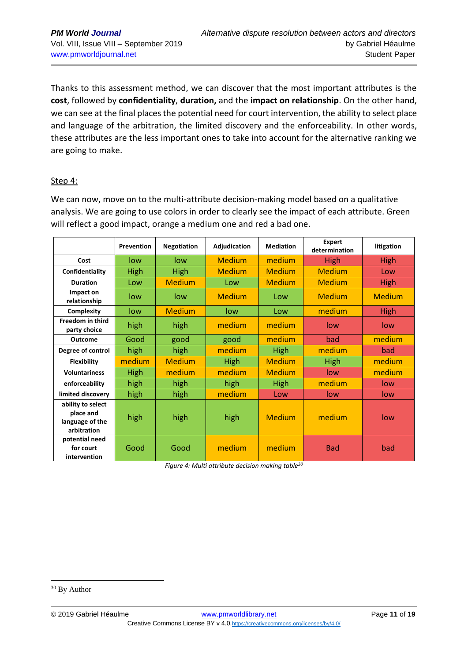Thanks to this assessment method, we can discover that the most important attributes is the **cost**, followed by **confidentiality**, **duration,** and the **impact on relationship**. On the other hand, we can see at the final places the potential need for court intervention, the ability to select place and language of the arbitration, the limited discovery and the enforceability. In other words, these attributes are the less important ones to take into account for the alternative ranking we are going to make.

### Step 4:

We can now, move on to the multi-attribute decision-making model based on a qualitative analysis. We are going to use colors in order to clearly see the impact of each attribute. Green will reflect a good impact, orange a medium one and red a bad one.

|                                                                  | Prevention  | <b>Negotiation</b> | Adjudication     | <b>Mediation</b> | <b>Expert</b><br>determination | litigation    |  |
|------------------------------------------------------------------|-------------|--------------------|------------------|------------------|--------------------------------|---------------|--|
| Cost                                                             | low         | low                | <b>Medium</b>    | medium           | <b>High</b>                    | High          |  |
| Confidentiality                                                  | High        | High               | <b>Medium</b>    | <b>Medium</b>    | <b>Medium</b>                  | Low           |  |
| <b>Duration</b>                                                  | Low         | <b>Medium</b>      | Low              | <b>Medium</b>    | <b>Medium</b>                  | High          |  |
| Impact on<br>relationship                                        | low         | low                | <b>Medium</b>    | Low              | <b>Medium</b>                  | <b>Medium</b> |  |
| Complexity                                                       | low.        | <b>Medium</b>      | low              | Low              | medium                         | High          |  |
| <b>Freedom in third</b><br>party choice                          | high        | high               | medium<br>medium |                  | low                            | low           |  |
| <b>Outcome</b>                                                   | Good        | good               | good             | medium           | bad                            | medium        |  |
| Degree of control                                                | high        | high               | medium           | <b>High</b>      | medium                         | bad           |  |
| <b>Flexibility</b>                                               | medium      | <b>Medium</b>      | <b>High</b>      | <b>Medium</b>    | High                           | medium        |  |
| <b>Voluntariness</b>                                             | <b>High</b> | medium             | medium           | <b>Medium</b>    | low                            | medium        |  |
| enforceability                                                   | high        | high               | high             | <b>High</b>      | medium                         | low           |  |
| limited discovery                                                | high        | high               | medium           | Low              | low                            | low           |  |
| ability to select<br>place and<br>language of the<br>arbitration | high        | high               | high             | <b>Medium</b>    | medium                         | low           |  |
| potential need<br>for court<br>intervention                      | Good        | Good               | medium           | medium           | <b>Bad</b>                     | bad           |  |

*Figure 4: Multi attribute decision making table<sup>30</sup>*

<sup>30</sup> By Author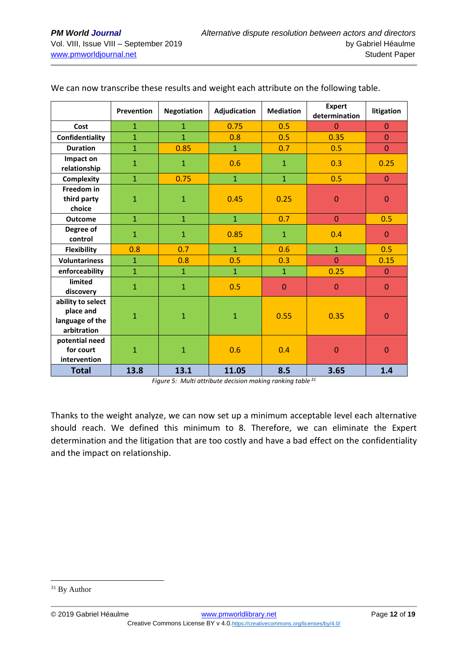|                                                                  | Prevention     | <b>Negotiation</b> | Adjudication   | <b>Mediation</b> | <b>Expert</b><br>determination | litigation     |
|------------------------------------------------------------------|----------------|--------------------|----------------|------------------|--------------------------------|----------------|
| Cost                                                             | $\mathbf{1}$   | $\mathbf{1}$       | 0.75           | 0.5              | $\Omega$                       | $\Omega$       |
| Confidentiality                                                  | $\mathbf{1}$   | $\overline{1}$     | 0.8            | 0.5              | 0.35                           | $\overline{0}$ |
| <b>Duration</b>                                                  | $\mathbf{1}$   | 0.85               | $\mathbf{1}$   | 0.7              | 0.5                            | $\overline{0}$ |
| Impact on<br>relationship                                        | $\mathbf{1}$   | $\mathbf{1}$       | 0.6            | $\mathbf{1}$     | 0.3                            | 0.25           |
| Complexity                                                       | $\overline{1}$ | 0.75               | $\overline{1}$ | $\overline{1}$   | 0.5                            | $\Omega$       |
| Freedom in<br>third party<br>choice                              | $\mathbf{1}$   | $\mathbf{1}$       | 0.45           | 0.25             | $\mathbf{0}$                   | $\mathbf{0}$   |
| <b>Outcome</b>                                                   | $\overline{1}$ | $\overline{1}$     | $\overline{1}$ | 0.7              | $\mathbf{0}$                   | 0.5            |
| Degree of<br>control                                             | $\mathbf{1}$   | $\mathbf{1}$       | 0.85           | $\mathbf{1}$     | 0.4                            | $\mathbf{0}$   |
| <b>Flexibility</b>                                               | 0.8            | 0.7                | $\overline{1}$ | 0.6              | $\overline{1}$                 | 0.5            |
| <b>Voluntariness</b>                                             | $\mathbf{1}$   | 0.8                | 0.5            | 0.3              | $\overline{0}$                 | 0.15           |
| enforceability                                                   | $\mathbf{1}$   | $\mathbf{1}$       | $\mathbf{1}$   | $\mathbf{1}$     | 0.25                           | $\Omega$       |
| limited<br>discovery                                             | $\mathbf{1}$   | $\mathbf{1}$       | 0.5            | $\Omega$         | $\overline{0}$                 | $\Omega$       |
| ability to select<br>place and<br>language of the<br>arbitration | $\mathbf{1}$   | $\mathbf{1}$       | $\mathbf{1}$   | 0.55             | 0.35                           | $\mathbf{0}$   |
| potential need<br>for court<br>intervention                      | $\mathbf{1}$   | $\mathbf{1}$       | 0.6            | 0.4              | $\overline{0}$                 | $\mathbf{0}$   |
| <b>Total</b>                                                     | 13.8           | 13.1               | 11.05          | 8.5              | 3.65                           | 1.4            |

We can now transcribe these results and weight each attribute on the following table.

*Figure 5: Multi attribute decision making ranking table <sup>31</sup>*

Thanks to the weight analyze, we can now set up a minimum acceptable level each alternative should reach. We defined this minimum to 8. Therefore, we can eliminate the Expert determination and the litigation that are too costly and have a bad effect on the confidentiality and the impact on relationship.

<sup>&</sup>lt;sup>31</sup> By Author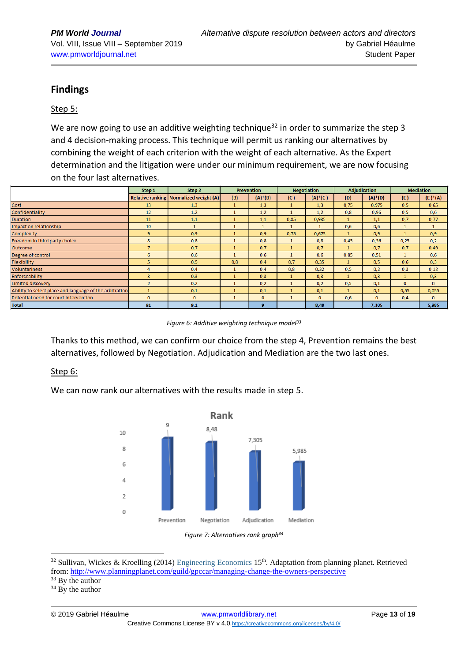# **Findings**

#### Step 5:

We are now going to use an additive weighting technique<sup>32</sup> in order to summarize the step 3 and 4 decision-making process. This technique will permit us ranking our alternatives by combining the weight of each criterion with the weight of each alternative. As the Expert determination and the litigation were under our minimum requirement, we are now focusing on the four last alternatives.

|                                                         | Step 1         | Step 2                                   |              | <b>Prevention</b> |              | <b>Negotiation</b> |              | <b>Adiudication</b> |              | <b>Mediation</b> |
|---------------------------------------------------------|----------------|------------------------------------------|--------------|-------------------|--------------|--------------------|--------------|---------------------|--------------|------------------|
|                                                         |                | Relative ranking   Normalized weight (A) | (B)          | $(A)^*(B)$        | (C)          | $(A)^*(C)$         | (D)          | $(A)^*(D)$          | (E)          | $(E^*)^*(A)$     |
| Cost                                                    | 13             | 1,3                                      | $\mathbf{1}$ | 1,3               | $\mathbf{1}$ | 1,3                | 0,75         | 0,975               | 0,5          | 0,65             |
| Confidentiality                                         | 12             | 1,2                                      | $\mathbf{1}$ | 1,2               |              | 1,2                | 0,8          | 0,96                | 0,5          | 0,6              |
| <b>Duration</b>                                         | 11             | 1,1                                      | $\mathbf{1}$ | 1,1               | 0.85         | 0.935              | $\mathbf{1}$ | 1.1                 | 0.7          | 0,77             |
| Impact on relationship                                  | 10             | $\mathbf{1}$                             | $\mathbf{1}$ | $\mathbf{1}$      | $\mathbf{1}$ | 1                  | 0,6          | 0,6                 | 1            | 1                |
| Complexity                                              | 9 <sup>°</sup> | 0,9                                      | 1            | 0.9               | 0,75         | 0,675              |              | 0.9                 |              | 0,9              |
| Freedom in third party choice                           | 8              | 0,8                                      | $\mathbf{1}$ | 0,8               |              | 0,8                | 0,45         | 0,36                | 0,25         | 0,2              |
| Outcome                                                 | $\overline{7}$ | 0,7                                      | 1            | 0,7               | 1            | 0,7                |              | 0,7                 | 0,7          | 0,49             |
| Degree of control                                       | 6              | 0,6                                      | 1            | 0,6               | 1            | 0,6                | 0,85         | 0,51                | $\mathbf{1}$ | 0,6              |
| Flexibility                                             | 5              | 0,5                                      | 0,8          | 0,4               | 0,7          | 0,35               |              | 0,5                 | 0,6          | 0,3              |
| Voluntariness                                           | 4              | 0,4                                      | $\mathbf{1}$ | 0,4               | 0,8          | 0,32               | 0,5          | 0,2                 | 0,3          | 0,12             |
| Enforceability                                          | $\overline{3}$ | 0,3                                      | $\mathbf{1}$ | 0,3               | $\mathbf{1}$ | 0,3                |              | 0,3                 |              | 0,3              |
| <b>Limited discovery</b>                                | $\overline{2}$ | 0,2                                      | $\mathbf{1}$ | 0,2               | $\mathbf{1}$ | 0,2                | 0,5          | 0,1                 | $\mathbf{0}$ | $\mathbf{0}$     |
| Ability to select place and language of the arbitration | $\mathbf{1}$   | 0,1                                      | $\mathbf{1}$ | 0,1               | $\mathbf{1}$ | 0,1                |              | 0,1                 | 0,55         | 0,055            |
| Potential need for court intervention                   | $\mathbf{0}$   | $\mathbf{0}$                             | $\mathbf{1}$ | $\mathbf{0}$      | $\mathbf{1}$ | $\mathbf{0}$       | 0,6          | $\mathbf{0}$        | 0,4          | $\mathbf{0}$     |
| <b>Total</b>                                            | 91             | 9,1                                      |              | 9                 |              | 8,48               |              | 7,305               |              | 5,985            |

*Figure 6: Additive weighting technique model<sup>33</sup>*

Thanks to this method, we can confirm our choice from the step 4, Prevention remains the best alternatives, followed by Negotiation. Adjudication and Mediation are the two last ones.

#### Step 6:

We can now rank our alternatives with the results made in step 5.





<sup>32</sup> Sullivan, Wickes & Kroelling (2014) [Engineering Economics](http://www.amazon.com/Engineering-Economy-Edition-William-Sullivan/dp/0132554909) 15th. Adaptation from planning planet. Retrieved from[: http://www.planningplanet.com/guild/gpccar/managing-change-the-owners-perspective](http://www.planningplanet.com/guild/gpccar/managing-change-the-owners-perspective)

<sup>33</sup> By the author

 $34$  By the author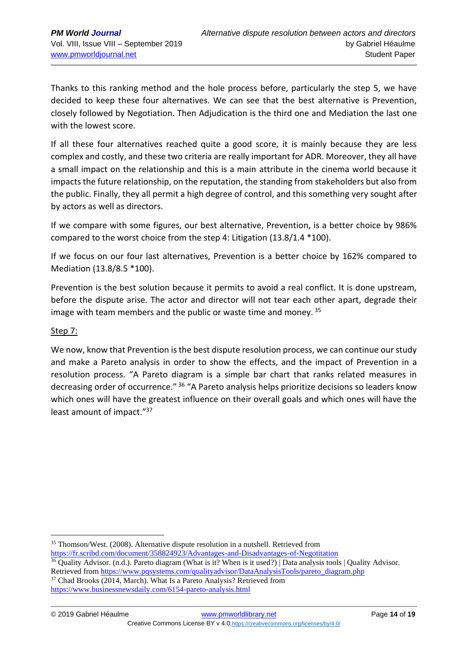Thanks to this ranking method and the hole process before, particularly the step 5, we have decided to keep these four alternatives. We can see that the best alternative is Prevention, closely followed by Negotiation. Then Adjudication is the third one and Mediation the last one with the lowest score.

If all these four alternatives reached quite a good score, it is mainly because they are less complex and costly, and these two criteria are really important for ADR. Moreover, they all have a small impact on the relationship and this is a main attribute in the cinema world because it impacts the future relationship, on the reputation, the standing from stakeholders but also from the public. Finally, they all permit a high degree of control, and this something very sought after by actors as well as directors.

If we compare with some figures, our best alternative, Prevention, is a better choice by 986% compared to the worst choice from the step 4: Litigation (13.8/1.4 \*100).

If we focus on our four last alternatives, Prevention is a better choice by 162% compared to Mediation (13.8/8.5 \*100).

Prevention is the best solution because it permits to avoid a real conflict. It is done upstream, before the dispute arise. The actor and director will not tear each other apart, degrade their image with team members and the public or waste time and money.<sup>35</sup>

### Step 7:

We now, know that Prevention is the best dispute resolution process, we can continue our study and make a Pareto analysis in order to show the effects, and the impact of Prevention in a resolution process. "A Pareto diagram is a simple bar chart that ranks related measures in decreasing order of occurrence." <sup>36</sup> "A Pareto analysis helps prioritize decisions so leaders know which ones will have the greatest influence on their overall goals and which ones will have the least amount of impact."<sup>37</sup>

<https://fr.scribd.com/document/358824923/Advantages-and-Disadvantages-of-Negotitation>

<sup>35</sup> Thomson/West. (2008). Alternative dispute resolution in a nutshell. Retrieved from

<sup>&</sup>lt;sup>36</sup> Quality Advisor. (n.d.). Pareto diagram (What is it? When is it used?) Data analysis tools | Quality Advisor. Retrieved from [https://www.pqsystems.com/qualityadvisor/DataAnalysisTools/pareto\\_diagram.php](https://www.pqsystems.com/qualityadvisor/DataAnalysisTools/pareto_diagram.php) <sup>37</sup> Chad Brooks (2014, March). What Is a Pareto Analysis? Retrieved from

<https://www.businessnewsdaily.com/6154-pareto-analysis.html>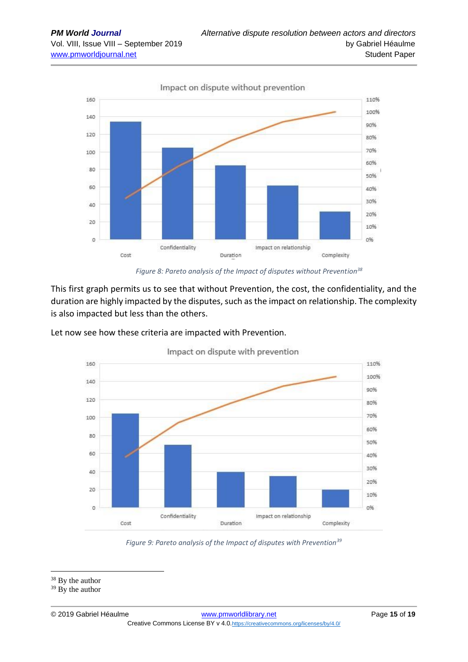

*Figure 8: Pareto analysis of the Impact of disputes without Prevention<sup>38</sup>*

This first graph permits us to see that without Prevention, the cost, the confidentiality, and the duration are highly impacted by the disputes, such as the impact on relationship. The complexity is also impacted but less than the others.

Let now see how these criteria are impacted with Prevention.



Impact on dispute with prevention

*Figure 9: Pareto analysis of the Impact of disputes with Prevention<sup>39</sup>*

<sup>&</sup>lt;sup>38</sup> By the author

 $39$  By the author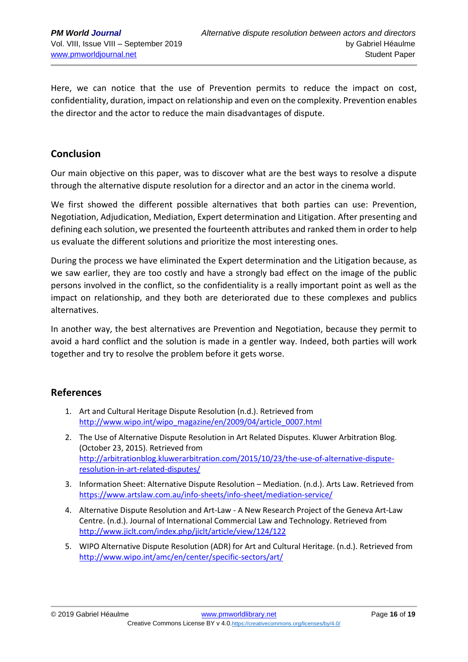Here, we can notice that the use of Prevention permits to reduce the impact on cost, confidentiality, duration, impact on relationship and even on the complexity. Prevention enables the director and the actor to reduce the main disadvantages of dispute.

### **Conclusion**

Our main objective on this paper, was to discover what are the best ways to resolve a dispute through the alternative dispute resolution for a director and an actor in the cinema world.

We first showed the different possible alternatives that both parties can use: Prevention, Negotiation, Adjudication, Mediation, Expert determination and Litigation. After presenting and defining each solution, we presented the fourteenth attributes and ranked them in order to help us evaluate the different solutions and prioritize the most interesting ones.

During the process we have eliminated the Expert determination and the Litigation because, as we saw earlier, they are too costly and have a strongly bad effect on the image of the public persons involved in the conflict, so the confidentiality is a really important point as well as the impact on relationship, and they both are deteriorated due to these complexes and publics alternatives.

In another way, the best alternatives are Prevention and Negotiation, because they permit to avoid a hard conflict and the solution is made in a gentler way. Indeed, both parties will work together and try to resolve the problem before it gets worse.

# **References**

- 1. Art and Cultural Heritage Dispute Resolution (n.d.). Retrieved from [http://www.wipo.int/wipo\\_magazine/en/2009/04/article\\_0007.html](http://www.wipo.int/wipo_magazine/en/2009/04/article_0007.html)
- 2. The Use of Alternative Dispute Resolution in Art Related Disputes. Kluwer Arbitration Blog. (October 23, 2015). Retrieved from [http://arbitrationblog.kluwerarbitration.com/2015/10/23/the-use-of-alternative-dispute](http://arbitrationblog.kluwerarbitration.com/2015/10/23/the-use-of-alternative-dispute-resolution-in-art-related-disputes/)[resolution-in-art-related-disputes/](http://arbitrationblog.kluwerarbitration.com/2015/10/23/the-use-of-alternative-dispute-resolution-in-art-related-disputes/)
- 3. Information Sheet: Alternative Dispute Resolution Mediation. (n.d.). Arts Law. Retrieved from <https://www.artslaw.com.au/info-sheets/info-sheet/mediation-service/>
- 4. Alternative Dispute Resolution and Art-Law A New Research Project of the Geneva Art-Law Centre. (n.d.). Journal of International Commercial Law and Technology. Retrieved from <http://www.jiclt.com/index.php/jiclt/article/view/124/122>
- 5. WIPO Alternative Dispute Resolution (ADR) for Art and Cultural Heritage. (n.d.). Retrieved from <http://www.wipo.int/amc/en/center/specific-sectors/art/>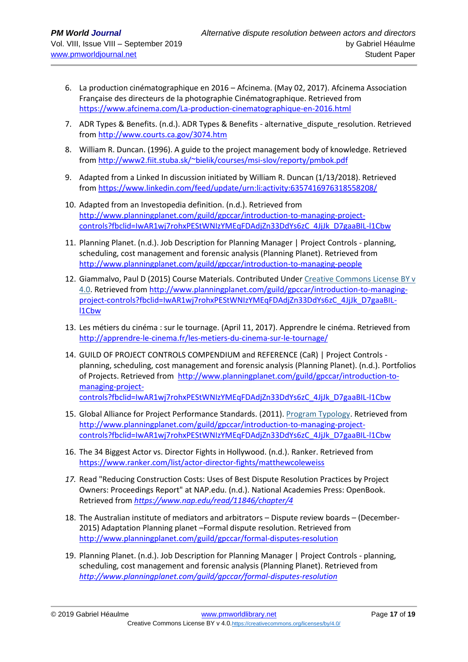- 6. La production cinématographique en 2016 Afcinema. (May 02, 2017). Afcinema Association Française des directeurs de la photographie Cinématographique. Retrieved from <https://www.afcinema.com/La-production-cinematographique-en-2016.html>
- 7. ADR Types & Benefits. (n.d.). ADR Types & Benefits alternative\_dispute\_resolution. Retrieved from <http://www.courts.ca.gov/3074.htm>
- 8. William R. Duncan. (1996). A guide to the project management body of knowledge. Retrieved from <http://www2.fiit.stuba.sk/~bielik/courses/msi-slov/reporty/pmbok.pdf>
- 9. Adapted from a Linked In discussion initiated by William R. Duncan (1/13/2018). Retrieved from <https://www.linkedin.com/feed/update/urn:li:activity:6357416976318558208/>
- 10. Adapted from an Investopedia definition. (n.d.). Retrieved from [http://www.planningplanet.com/guild/gpccar/introduction-to-managing-project](http://www.planningplanet.com/guild/gpccar/introduction-to-managing-project-controls?fbclid=IwAR1wj7rohxPEStWNIzYMEqFDAdjZn33DdYs6zC_4JjJk_D7gaaBIL-l1Cbw)[controls?fbclid=IwAR1wj7rohxPEStWNIzYMEqFDAdjZn33DdYs6zC\\_4JjJk\\_D7gaaBIL-l1Cbw](http://www.planningplanet.com/guild/gpccar/introduction-to-managing-project-controls?fbclid=IwAR1wj7rohxPEStWNIzYMEqFDAdjZn33DdYs6zC_4JjJk_D7gaaBIL-l1Cbw)
- 11. Planning Planet. (n.d.). Job Description for Planning Manager | Project Controls planning, scheduling, cost management and forensic analysis (Planning Planet). Retrieved from <http://www.planningplanet.com/guild/gpccar/introduction-to-managing-people>
- 12. Giammalvo, Paul D (2015) Course Materials. Contributed Under [Creative Commons License BY v](https://creativecommons.org/licenses/by/4.0/)  [4.0.](https://creativecommons.org/licenses/by/4.0/) Retrieved from [http://www.planningplanet.com/guild/gpccar/introduction-to-managing](http://www.planningplanet.com/guild/gpccar/introduction-to-managing-project-controls?fbclid=IwAR1wj7rohxPEStWNIzYMEqFDAdjZn33DdYs6zC_4JjJk_D7gaaBIL-l1Cbw)[project-controls?fbclid=IwAR1wj7rohxPEStWNIzYMEqFDAdjZn33DdYs6zC\\_4JjJk\\_D7gaaBIL](http://www.planningplanet.com/guild/gpccar/introduction-to-managing-project-controls?fbclid=IwAR1wj7rohxPEStWNIzYMEqFDAdjZn33DdYs6zC_4JjJk_D7gaaBIL-l1Cbw)[l1Cbw](http://www.planningplanet.com/guild/gpccar/introduction-to-managing-project-controls?fbclid=IwAR1wj7rohxPEStWNIzYMEqFDAdjZn33DdYs6zC_4JjJk_D7gaaBIL-l1Cbw)
- 13. Les métiers du cinéma : sur le tournage. (April 11, 2017). Apprendre le cinéma. Retrieved from <http://apprendre-le-cinema.fr/les-metiers-du-cinema-sur-le-tournage/>
- 14. GUILD OF PROJECT CONTROLS COMPENDIUM and REFERENCE (CaR) | Project Controls planning, scheduling, cost management and forensic analysis (Planning Planet). (n.d.). Portfolios of Projects. Retrieved from [http://www.planningplanet.com/guild/gpccar/introduction-to](http://www.planningplanet.com/guild/gpccar/introduction-to-managing-project-controls?fbclid=IwAR1wj7rohxPEStWNIzYMEqFDAdjZn33DdYs6zC_4JjJk_D7gaaBIL-l1Cbw)[managing-project](http://www.planningplanet.com/guild/gpccar/introduction-to-managing-project-controls?fbclid=IwAR1wj7rohxPEStWNIzYMEqFDAdjZn33DdYs6zC_4JjJk_D7gaaBIL-l1Cbw)[controls?fbclid=IwAR1wj7rohxPEStWNIzYMEqFDAdjZn33DdYs6zC\\_4JjJk\\_D7gaaBIL-l1Cbw](http://www.planningplanet.com/guild/gpccar/introduction-to-managing-project-controls?fbclid=IwAR1wj7rohxPEStWNIzYMEqFDAdjZn33DdYs6zC_4JjJk_D7gaaBIL-l1Cbw)
- 15. Global Alliance for Project Performance Standards. (2011). [Program Typology.](http://globalpmstandards.org/tools/complexity-rating/program-typology/) Retrieved from [http://www.planningplanet.com/guild/gpccar/introduction-to-managing-project](http://www.planningplanet.com/guild/gpccar/introduction-to-managing-project-controls?fbclid=IwAR1wj7rohxPEStWNIzYMEqFDAdjZn33DdYs6zC_4JjJk_D7gaaBIL-l1Cbw)[controls?fbclid=IwAR1wj7rohxPEStWNIzYMEqFDAdjZn33DdYs6zC\\_4JjJk\\_D7gaaBIL-l1Cbw](http://www.planningplanet.com/guild/gpccar/introduction-to-managing-project-controls?fbclid=IwAR1wj7rohxPEStWNIzYMEqFDAdjZn33DdYs6zC_4JjJk_D7gaaBIL-l1Cbw)
- 16. The 34 Biggest Actor vs. Director Fights in Hollywood. (n.d.). Ranker. Retrieved from <https://www.ranker.com/list/actor-director-fights/matthewcoleweiss>
- *17.* Read "Reducing Construction Costs: Uses of Best Dispute Resolution Practices by Project Owners: Proceedings Report" at NAP.edu. (n.d.). National Academies Press: OpenBook. Retrieved from *<https://www.nap.edu/read/11846/chapter/4>*
- 18. The Australian institute of mediators and arbitrators Dispute review boards (December-2015) Adaptation Planning planet –Formal dispute resolution. Retrieved from <http://www.planningplanet.com/guild/gpccar/formal-disputes-resolution>
- 19. Planning Planet. (n.d.). Job Description for Planning Manager | Project Controls planning, scheduling, cost management and forensic analysis (Planning Planet). Retrieved from *<http://www.planningplanet.com/guild/gpccar/formal-disputes-resolution>*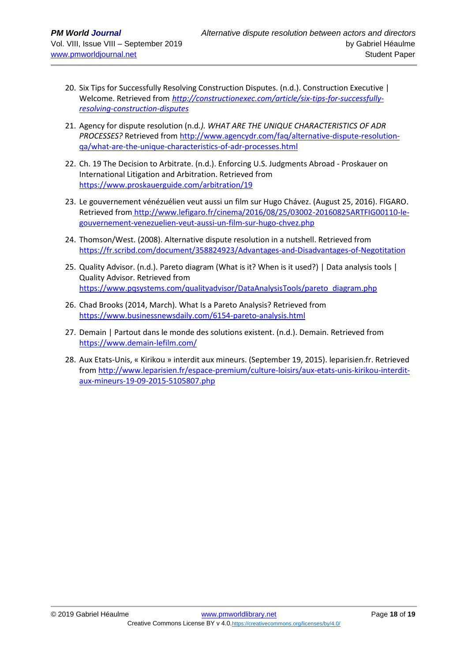- 20. Six Tips for Successfully Resolving Construction Disputes. (n.d.). Construction Executive | Welcome. Retrieved from *[http://constructionexec.com/article/six-tips-for-successfully](http://constructionexec.com/article/six-tips-for-successfully-resolving-construction-disputes)[resolving-construction-disputes](http://constructionexec.com/article/six-tips-for-successfully-resolving-construction-disputes)*
- 21. Agency for dispute resolution (n.d*.). WHAT ARE THE UNIQUE CHARACTERISTICS OF ADR PROCESSES?* Retrieved from [http://www.agencydr.com/faq/alternative-dispute-resolution](http://www.agencydr.com/faq/alternative-dispute-resolution-qa/what-are-the-unique-characteristics-of-adr-processes.html)[qa/what-are-the-unique-characteristics-of-adr-processes.html](http://www.agencydr.com/faq/alternative-dispute-resolution-qa/what-are-the-unique-characteristics-of-adr-processes.html)
- 22. Ch. 19 The Decision to Arbitrate. (n.d.). Enforcing U.S. Judgments Abroad Proskauer on International Litigation and Arbitration. Retrieved from <https://www.proskauerguide.com/arbitration/19>
- 23. Le gouvernement vénézuélien veut aussi un film sur Hugo Chávez. (August 25, 2016). FIGARO. Retrieved from [http://www.lefigaro.fr/cinema/2016/08/25/03002-20160825ARTFIG00110-le](http://www.lefigaro.fr/cinema/2016/08/25/03002-20160825ARTFIG00110-le-gouvernement-venezuelien-veut-aussi-un-film-sur-hugo-chvez.php)[gouvernement-venezuelien-veut-aussi-un-film-sur-hugo-chvez.php](http://www.lefigaro.fr/cinema/2016/08/25/03002-20160825ARTFIG00110-le-gouvernement-venezuelien-veut-aussi-un-film-sur-hugo-chvez.php)
- 24. Thomson/West. (2008). Alternative dispute resolution in a nutshell. Retrieved from <https://fr.scribd.com/document/358824923/Advantages-and-Disadvantages-of-Negotitation>
- 25. Quality Advisor. (n.d.). Pareto diagram (What is it? When is it used?) | Data analysis tools | Quality Advisor. Retrieved from [https://www.pqsystems.com/qualityadvisor/DataAnalysisTools/pareto\\_diagram.php](https://www.pqsystems.com/qualityadvisor/DataAnalysisTools/pareto_diagram.php)
- 26. Chad Brooks (2014, March). What Is a Pareto Analysis? Retrieved from <https://www.businessnewsdaily.com/6154-pareto-analysis.html>
- 27. Demain | Partout dans le monde des solutions existent. (n.d.). Demain. Retrieved from <https://www.demain-lefilm.com/>
- 28. Aux Etats-Unis, « Kirikou » interdit aux mineurs. (September 19, 2015). leparisien.fr. Retrieved from [http://www.leparisien.fr/espace-premium/culture-loisirs/aux-etats-unis-kirikou-interdit](http://www.leparisien.fr/espace-premium/culture-loisirs/aux-etats-unis-kirikou-interdit-aux-mineurs-19-09-2015-5105807.php)[aux-mineurs-19-09-2015-5105807.php](http://www.leparisien.fr/espace-premium/culture-loisirs/aux-etats-unis-kirikou-interdit-aux-mineurs-19-09-2015-5105807.php)